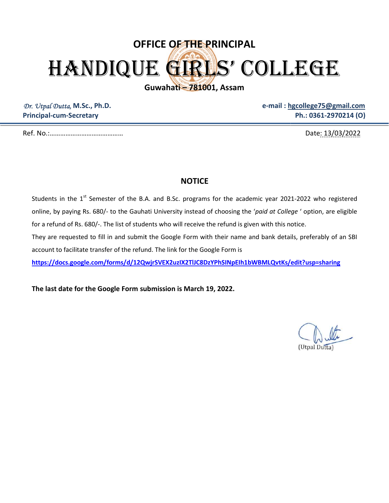## OFFICE OF THE PRINCIPAL HANDIQUE GIRLS' COLLEGE

Guwahati – 781001, Assam

Dr. Utpal Dutta, M.Sc., Ph.D. Principal-cum-Secretary

e-mail : hgcollege75@gmail.com

Ref. No.:……………………………………

Date: 13/03/2022

## **NOTICE**

Students in the  $1^{st}$  Semester of the B.A. and B.Sc. programs for the academic year 2021-2022 who registered online, by paying Rs. 680/- to the Gauhati University instead of choosing the 'paid at College ' option, are eligible for a refund of Rs. 680/-. The list of students who will receive the refund is given with this notice. Ph.: 0361-2970214 (O)<br>
Date: 13/03/2022.<br>
Date: 13/03/2022.<br>
B.A. and B.Sc. programs for the academic year 2021-2022 who registered<br>
thati University instead of choosing the *'paid at College'* option, are eligible<br>
dents

They are requested to fill in and submit the Google Form with their name and bank details, preferably of an SBI account to facilitate transfer of the refund. The link for the Google Form is

https://docs.google.com/forms/d/12QwjrSVEX2uzIX2TlJC8DzYPhSINpEIh1bWBMLQvtKs/edit?usp=sharing

The last date for the Google Form submission is March 19, 2022.

(Utpal Dutta)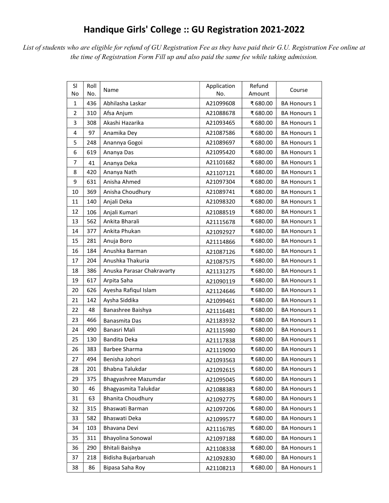## Handique Girls' College :: GU Registration 2021-2022

List of students who are eligible for refund of GU Registration Fee as they have paid their G.U. Registration Fee online at the time of Registration Form Fill up and also paid the same fee while taking admission.

| SI<br>No       | Roll<br>No. | Name                       | Application<br>No. | Refund<br>Amount | Course              |
|----------------|-------------|----------------------------|--------------------|------------------|---------------------|
| 1              | 436         | Abhilasha Laskar           | A21099608          | ₹680.00          | <b>BA Honours 1</b> |
| $\overline{2}$ | 310         | Afsa Anjum                 | A21088678          | ₹680.00          | <b>BA Honours 1</b> |
| 3              | 308         | Akashi Hazarika            | A21093465          | ₹680.00          | <b>BA Honours 1</b> |
| 4              | 97          | Anamika Dey                | A21087586          | ₹680.00          | <b>BA Honours 1</b> |
| 5              | 248         | Anannya Gogoi              | A21089697          | ₹680.00          | <b>BA Honours 1</b> |
| 6              | 619         | Ananya Das                 | A21095420          | ₹680.00          | <b>BA Honours 1</b> |
| 7              | 41          | Ananya Deka                | A21101682          | ₹680.00          | <b>BA Honours 1</b> |
| 8              | 420         | Ananya Nath                | A21107121          | ₹680.00          | <b>BA Honours 1</b> |
| 9              | 631         | Anisha Ahmed               | A21097304          | ₹680.00          | <b>BA Honours 1</b> |
| 10             | 369         | Anisha Choudhury           | A21089741          | ₹680.00          | <b>BA Honours 1</b> |
| 11             | 140         | Anjali Deka                | A21098320          | ₹680.00          | <b>BA Honours 1</b> |
| 12             | 106         | Anjali Kumari              | A21088519          | ₹680.00          | <b>BA Honours 1</b> |
| 13             | 562         | Ankita Bharali             | A21115678          | ₹680.00          | <b>BA Honours 1</b> |
| 14             | 377         | Ankita Phukan              | A21092927          | ₹680.00          | <b>BA Honours 1</b> |
| 15             | 281         | Anuja Boro                 | A21114866          | ₹680.00          | <b>BA Honours 1</b> |
| 16             | 184         | Anushka Barman             | A21087126          | ₹680.00          | <b>BA Honours 1</b> |
| 17             | 204         | Anushka Thakuria           | A21087575          | ₹680.00          | <b>BA Honours 1</b> |
| 18             | 386         | Anuska Parasar Chakravarty | A21131275          | ₹680.00          | <b>BA Honours 1</b> |
| 19             | 617         | Arpita Saha                | A21090119          | ₹680.00          | <b>BA Honours 1</b> |
| 20             | 626         | Ayesha Rafiqul Islam       | A21124646          | ₹680.00          | <b>BA Honours 1</b> |
| 21             | 142         | Aysha Siddika              | A21099461          | ₹680.00          | <b>BA Honours 1</b> |
| 22             | 48          | Banashree Baishya          | A21116481          | ₹680.00          | <b>BA Honours 1</b> |
| 23             | 466         | Banasmita Das              | A21183932          | ₹680.00          | <b>BA Honours 1</b> |
| 24             | 490         | Banasri Mali               | A21115980          | ₹680.00          | <b>BA Honours 1</b> |
| 25             | 130         | Bandita Deka               | A21117838          | ₹680.00          | <b>BA Honours 1</b> |
| 26             | 383         | Barbee Sharma              | A21119090          | ₹680.00          | <b>BA Honours 1</b> |
| 27             | 494         | Benisha Johori             | A21093563          | ₹680.00          | BA Honours 1        |
| 28             | 201         | Bhabna Talukdar            | A21092615          | ₹680.00          | <b>BA Honours 1</b> |
| 29             | 375         | Bhagyashree Mazumdar       | A21095045          | ₹680.00          | <b>BA Honours 1</b> |
| 30             | 46          | Bhagyasmita Talukdar       | A21088383          | ₹680.00          | <b>BA Honours 1</b> |
| 31             | 63          | <b>Bhanita Choudhury</b>   | A21092775          | ₹680.00          | <b>BA Honours 1</b> |
| 32             | 315         | Bhaswati Barman            | A21097206          | ₹ 680.00         | <b>BA Honours 1</b> |
| 33             | 582         | Bhaswati Deka              | A21099577          | ₹680.00          | <b>BA Honours 1</b> |
| 34             | 103         | Bhavana Devi               | A21116785          | ₹680.00          | <b>BA Honours 1</b> |
| 35             | 311         | <b>Bhayolina Sonowal</b>   | A21097188          | ₹680.00          | <b>BA Honours 1</b> |
| 36             | 290         | Bhitali Baishya            | A21108338          | ₹680.00          | <b>BA Honours 1</b> |
| 37             | 218         | Bidisha Bujarbaruah        | A21092830          | ₹680.00          | <b>BA Honours 1</b> |
| 38             | 86          | Bipasa Saha Roy            | A21108213          | ₹680.00          | <b>BA Honours 1</b> |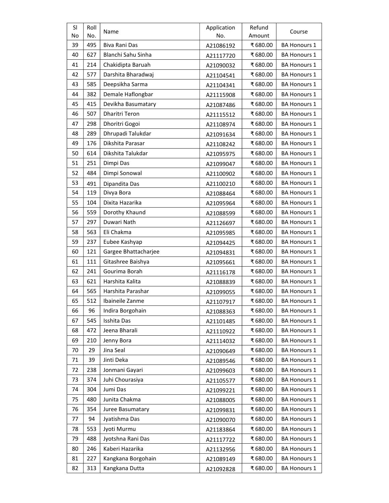| <b>SI</b> | Roll | Name                  | Application | Refund  | Course              |
|-----------|------|-----------------------|-------------|---------|---------------------|
| No        | No.  |                       | No.         | Amount  |                     |
| 39        | 495  | Biva Rani Das         | A21086192   | ₹680.00 | <b>BA Honours 1</b> |
| 40        | 627  | Blanchi Sahu Sinha    | A21117720   | ₹680.00 | <b>BA Honours 1</b> |
| 41        | 214  | Chakidipta Baruah     | A21090032   | ₹680.00 | <b>BA Honours 1</b> |
| 42        | 577  | Darshita Bharadwaj    | A21104541   | ₹680.00 | <b>BA Honours 1</b> |
| 43        | 585  | Deepsikha Sarma       | A21104341   | ₹680.00 | <b>BA Honours 1</b> |
| 44        | 382  | Demale Haflongbar     | A21115908   | ₹680.00 | <b>BA Honours 1</b> |
| 45        | 415  | Devikha Basumatary    | A21087486   | ₹680.00 | <b>BA Honours 1</b> |
| 46        | 507  | <b>Dharitri Teron</b> | A21115512   | ₹680.00 | <b>BA Honours 1</b> |
| 47        | 298  | Dhoritri Gogoi        | A21108974   | ₹680.00 | <b>BA Honours 1</b> |
| 48        | 289  | Dhrupadi Talukdar     | A21091634   | ₹680.00 | <b>BA Honours 1</b> |
| 49        | 176  | Dikshita Parasar      | A21108242   | ₹680.00 | <b>BA Honours 1</b> |
| 50        | 614  | Dikshita Talukdar     | A21095975   | ₹680.00 | <b>BA Honours 1</b> |
| 51        | 251  | Dimpi Das             | A21099047   | ₹680.00 | <b>BA Honours 1</b> |
| 52        | 484  | Dimpi Sonowal         | A21100902   | ₹680.00 | <b>BA Honours 1</b> |
| 53        | 491  | Dipandita Das         | A21100210   | ₹680.00 | <b>BA Honours 1</b> |
| 54        | 119  | Divya Bora            | A21088464   | ₹680.00 | <b>BA Honours 1</b> |
| 55        | 104  | Dixita Hazarika       | A21095964   | ₹680.00 | <b>BA Honours 1</b> |
| 56        | 559  | Dorothy Khaund        | A21088599   | ₹680.00 | <b>BA Honours 1</b> |
| 57        | 297  | Duwari Nath           | A21126697   | ₹680.00 | <b>BA Honours 1</b> |
| 58        | 563  | Eli Chakma            | A21095985   | ₹680.00 | <b>BA Honours 1</b> |
| 59        | 237  | Eubee Kashyap         | A21094425   | ₹680.00 | <b>BA Honours 1</b> |
| 60        | 121  | Gargee Bhattacharjee  | A21094831   | ₹680.00 | <b>BA Honours 1</b> |
| 61        | 111  | Gitashree Baishya     | A21095661   | ₹680.00 | <b>BA Honours 1</b> |
| 62        | 241  | Gourima Borah         | A21116178   | ₹680.00 | <b>BA Honours 1</b> |
| 63        | 621  | Harshita Kalita       | A21088839   | ₹680.00 | <b>BA Honours 1</b> |
| 64        | 565  | Harshita Parashar     | A21099055   | ₹680.00 | <b>BA Honours 1</b> |
| 65        | 512  | Ibaineile Zanme       | A21107917   | ₹680.00 | <b>BA Honours 1</b> |
| 66        | 96   | Indira Borgohain      | A21088363   | ₹680.00 | <b>BA Honours 1</b> |
| 67        | 545  | Isshita Das           | A21101485   | ₹680.00 | <b>BA Honours 1</b> |
| 68        | 472  | Jeena Bharali         | A21110922   | ₹680.00 | <b>BA Honours 1</b> |
| 69        | 210  | Jenny Bora            | A21114032   | ₹680.00 | <b>BA Honours 1</b> |
| 70        | 29   | Jina Seal             | A21090649   | ₹680.00 | <b>BA Honours 1</b> |
| 71        | 39   | Jinti Deka            | A21089546   | ₹680.00 | <b>BA Honours 1</b> |
| 72        | 238  | Jonmani Gayari        | A21099603   | ₹680.00 | <b>BA Honours 1</b> |
| 73        | 374  | Juhi Chourasiya       | A21105577   | ₹680.00 | <b>BA Honours 1</b> |
| 74        | 304  | Jumi Das              | A21099221   | ₹680.00 | <b>BA Honours 1</b> |
| 75        | 480  | Junita Chakma         | A21088005   | ₹680.00 | <b>BA Honours 1</b> |
| 76        | 354  | Juree Basumatary      | A21099831   | ₹680.00 | <b>BA Honours 1</b> |
| 77        | 94   | Jyatishma Das         | A21090070   | ₹680.00 | <b>BA Honours 1</b> |
| 78        | 553  | Jyoti Murmu           | A21183864   | ₹680.00 | <b>BA Honours 1</b> |
| 79        | 488  | Jyotshna Rani Das     | A21117722   | ₹680.00 | <b>BA Honours 1</b> |
| 80        | 246  | Kaberi Hazarika       | A21132956   | ₹680.00 | <b>BA Honours 1</b> |
| 81        | 227  | Kangkana Borgohain    | A21089149   | ₹680.00 | <b>BA Honours 1</b> |
| 82        | 313  | Kangkana Dutta        | A21092828   | ₹680.00 | <b>BA Honours 1</b> |
|           |      |                       |             |         |                     |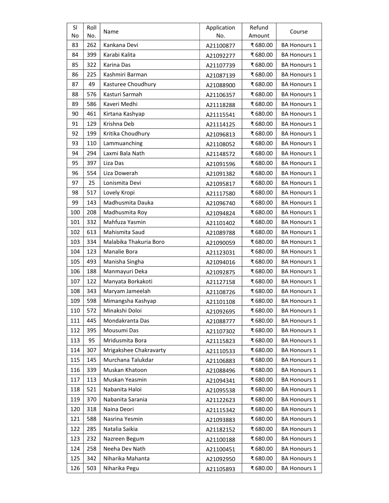| <b>SI</b><br>No | Roll<br>No. | Name                   | Application<br>No. | Refund<br>Amount | Course              |
|-----------------|-------------|------------------------|--------------------|------------------|---------------------|
| 83              | 262         | Kankana Devi           | A21100877          | ₹680.00          | <b>BA Honours 1</b> |
| 84              | 399         | Karabi Kalita          | A21092277          | ₹680.00          | <b>BA Honours 1</b> |
| 85              | 322         | Karina Das             | A21107739          | ₹680.00          | <b>BA Honours 1</b> |
| 86              | 225         | Kashmiri Barman        | A21087139          | ₹680.00          | <b>BA Honours 1</b> |
| 87              | 49          | Kasturee Choudhury     | A21088900          | ₹680.00          | <b>BA Honours 1</b> |
| 88              | 576         | Kasturi Sarmah         | A21106357          | ₹680.00          | <b>BA Honours 1</b> |
| 89              | 586         | Kaveri Medhi           | A21118288          | ₹680.00          | <b>BA Honours 1</b> |
| 90              | 461         | Kirtana Kashyap        | A21115541          | ₹680.00          | <b>BA Honours 1</b> |
| 91              | 129         | Krishna Deb            | A21114125          | ₹680.00          | <b>BA Honours 1</b> |
| 92              | 199         | Kritika Choudhury      | A21096813          | ₹680.00          | <b>BA Honours 1</b> |
| 93              | 110         | Lammuanching           | A21108052          | ₹680.00          | <b>BA Honours 1</b> |
| 94              | 294         | Laxmi Bala Nath        | A21148572          | ₹680.00          | <b>BA Honours 1</b> |
| 95              | 397         | Liza Das               | A21091596          | ₹680.00          | <b>BA Honours 1</b> |
| 96              | 554         | Liza Dowerah           | A21091382          | ₹680.00          | <b>BA Honours 1</b> |
| 97              | 25          | Lonismita Devi         | A21095817          | ₹680.00          | <b>BA Honours 1</b> |
| 98              | 517         | Lovely Kropi           | A21117580          | ₹680.00          | <b>BA Honours 1</b> |
| 99              | 143         | Madhusmita Dauka       | A21096740          | ₹680.00          | <b>BA Honours 1</b> |
| 100             | 208         | Madhusmita Roy         | A21094824          | ₹680.00          | <b>BA Honours 1</b> |
| 101             | 332         | Mahfuza Yasmin         | A21101402          | ₹680.00          | <b>BA Honours 1</b> |
| 102             | 613         | Mahismita Saud         | A21089788          | ₹680.00          | <b>BA Honours 1</b> |
| 103             | 334         | Malabika Thakuria Boro | A21090059          | ₹680.00          | <b>BA Honours 1</b> |
| 104             | 123         | Manalie Bora           | A21123031          | ₹680.00          | <b>BA Honours 1</b> |
| 105             | 493         | Manisha Singha         | A21094016          | ₹680.00          | <b>BA Honours 1</b> |
| 106             | 188         | Manmayuri Deka         | A21092875          | ₹680.00          | <b>BA Honours 1</b> |
| 107             | 122         | Manyata Borkakoti      | A21127158          | ₹680.00          | <b>BA Honours 1</b> |
| 108             | 343         | Maryam Jameelah        | A21108726          | ₹680.00          | <b>BA Honours 1</b> |
| 109             | 598         | Mimangsha Kashyap      | A21101108          | ₹680.00          | <b>BA Honours 1</b> |
| 110             | 572         | Minakshi Doloi         | A21092695          | ₹680.00          | <b>BA Honours 1</b> |
| 111             | 445         | Mondakranta Das        | A21088777          | ₹680.00          | <b>BA Honours 1</b> |
| 112             | 395         | Mousumi Das            | A21107302          | ₹680.00          | <b>BA Honours 1</b> |
| 113             | 95          | Mridusmita Bora        | A21115823          | ₹680.00          | <b>BA Honours 1</b> |
| 114             | 307         | Mrigakshee Chakravarty | A21110533          | ₹680.00          | <b>BA Honours 1</b> |
| 115             | 145         | Murchana Talukdar      | A21106883          | ₹680.00          | <b>BA Honours 1</b> |
| 116             | 339         | Muskan Khatoon         | A21088496          | ₹680.00          | <b>BA Honours 1</b> |
| 117             | 113         | Muskan Yeasmin         | A21094341          | ₹680.00          | <b>BA Honours 1</b> |
| 118             | 521         | Nabanita Haloi         | A21095538          | ₹680.00          | <b>BA Honours 1</b> |
| 119             | 370         | Nabanita Sarania       | A21122623          | ₹680.00          | <b>BA Honours 1</b> |
| 120             | 318         | Naina Deori            | A21115342          | ₹680.00          | <b>BA Honours 1</b> |
| 121             | 588         | Nasrina Yesmin         | A21093883          | ₹680.00          | <b>BA Honours 1</b> |
| 122             | 285         | Natalia Saikia         | A21182152          | ₹680.00          | <b>BA Honours 1</b> |
| 123             | 232         | Nazreen Begum          | A21100188          | ₹680.00          | <b>BA Honours 1</b> |
| 124             | 258         | Neeha Dev Nath         | A21100451          | ₹680.00          | <b>BA Honours 1</b> |
| 125             | 342         | Niharika Mahanta       | A21092950          | ₹680.00          | <b>BA Honours 1</b> |
| 126             | 503         | Niharika Pegu          | A21105893          | ₹680.00          | <b>BA Honours 1</b> |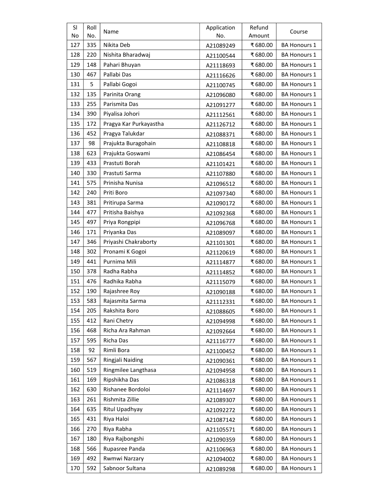| <b>SI</b><br>No | Roll<br>No. | Name                   | Application<br>No. | Refund<br>Amount | Course              |
|-----------------|-------------|------------------------|--------------------|------------------|---------------------|
| 127             | 335         | Nikita Deb             | A21089249          | ₹680.00          | <b>BA Honours 1</b> |
| 128             | 220         | Nishita Bharadwaj      | A21100544          | ₹680.00          | <b>BA Honours 1</b> |
| 129             | 148         | Pahari Bhuyan          | A21118693          | ₹680.00          | <b>BA Honours 1</b> |
| 130             | 467         | Pallabi Das            | A21116626          | ₹680.00          | <b>BA Honours 1</b> |
| 131             | 5           | Pallabi Gogoi          | A21100745          | ₹680.00          | <b>BA Honours 1</b> |
| 132             | 135         | Parinita Orang         | A21096080          | ₹680.00          | <b>BA Honours 1</b> |
| 133             | 255         | Parismita Das          | A21091277          | ₹680.00          | <b>BA Honours 1</b> |
| 134             | 390         | Piyalisa Johori        | A21112561          | ₹680.00          | <b>BA Honours 1</b> |
| 135             | 172         | Pragya Kar Purkayastha | A21126712          | ₹680.00          | <b>BA Honours 1</b> |
| 136             | 452         | Pragya Talukdar        | A21088371          | ₹680.00          | <b>BA Honours 1</b> |
| 137             | 98          | Prajukta Buragohain    | A21108818          | ₹680.00          | <b>BA Honours 1</b> |
| 138             | 623         | Prajukta Goswami       | A21086454          | ₹680.00          | <b>BA Honours 1</b> |
| 139             | 433         | Prastuti Borah         | A21101421          | ₹680.00          | <b>BA Honours 1</b> |
| 140             | 330         | Prastuti Sarma         | A21107880          | ₹680.00          | <b>BA Honours 1</b> |
| 141             | 575         | Prinisha Nunisa        | A21096512          | ₹680.00          | <b>BA Honours 1</b> |
| 142             | 240         | Priti Boro             | A21097340          | ₹680.00          | <b>BA Honours 1</b> |
| 143             | 381         | Pritirupa Sarma        | A21090172          | ₹680.00          | <b>BA Honours 1</b> |
| 144             | 477         | Pritisha Baishya       | A21092368          | ₹680.00          | <b>BA Honours 1</b> |
| 145             | 497         | Priya Rongpipi         | A21096768          | ₹680.00          | <b>BA Honours 1</b> |
| 146             | 171         | Priyanka Das           | A21089097          | ₹680.00          | <b>BA Honours 1</b> |
| 147             | 346         | Priyashi Chakraborty   | A21101301          | ₹680.00          | <b>BA Honours 1</b> |
| 148             | 302         | Pronami K Gogoi        | A21120619          | ₹680.00          | <b>BA Honours 1</b> |
| 149             | 441         | Purnima Mili           | A21114877          | ₹680.00          | <b>BA Honours 1</b> |
| 150             | 378         | Radha Rabha            | A21114852          | ₹680.00          | <b>BA Honours 1</b> |
| 151             | 476         | Radhika Rabha          | A21115079          | ₹680.00          | <b>BA Honours 1</b> |
| 152             | 190         | Rajashree Roy          | A21090188          | ₹680.00          | <b>BA Honours 1</b> |
| 153             | 583         | Rajasmita Sarma        | A21112331          | ₹680.00          | <b>BA Honours 1</b> |
| 154             | 205         | Rakshita Boro          | A21088605          | ₹680.00          | <b>BA Honours 1</b> |
| 155             | 412         | Rani Chetry            | A21094998          | ₹680.00          | <b>BA Honours 1</b> |
| 156             | 468         | Richa Ara Rahman       | A21092664          | ₹680.00          | <b>BA Honours 1</b> |
| 157             | 595         | Richa Das              | A21116777          | ₹680.00          | <b>BA Honours 1</b> |
| 158             | 92          | Rimli Bora             | A21100452          | ₹680.00          | <b>BA Honours 1</b> |
| 159             | 567         | Ringjali Naiding       | A21090361          | ₹680.00          | <b>BA Honours 1</b> |
| 160             | 519         | Ringmilee Langthasa    | A21094958          | ₹680.00          | <b>BA Honours 1</b> |
| 161             | 169         | Ripshikha Das          | A21086318          | ₹680.00          | <b>BA Honours 1</b> |
| 162             | 630         | Rishanee Bordoloi      | A21114697          | ₹680.00          | <b>BA Honours 1</b> |
| 163             | 261         | Rishmita Zillie        | A21089307          | ₹680.00          | <b>BA Honours 1</b> |
| 164             | 635         | Ritul Upadhyay         | A21092272          | ₹680.00          | <b>BA Honours 1</b> |
| 165             | 431         | Riya Haloi             | A21087142          | ₹680.00          | <b>BA Honours 1</b> |
| 166             | 270         | Riya Rabha             | A21105571          | ₹680.00          | <b>BA Honours 1</b> |
| 167             | 180         | Riya Rajbongshi        | A21090359          | ₹680.00          | <b>BA Honours 1</b> |
| 168             | 566         | Rupasree Panda         | A21106963          | ₹680.00          | <b>BA Honours 1</b> |
| 169             | 492         | Rwmwi Narzary          | A21094002          | ₹680.00          | <b>BA Honours 1</b> |
| 170             | 592         | Sabnoor Sultana        | A21089298          | ₹680.00          | <b>BA Honours 1</b> |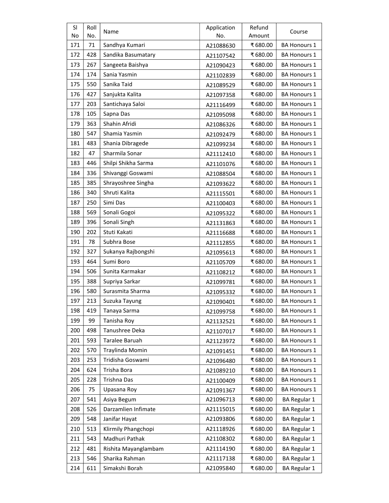| <b>SI</b> | Roll | Name                 | Application | Refund  | Course              |
|-----------|------|----------------------|-------------|---------|---------------------|
| No        | No.  |                      | No.         | Amount  |                     |
| 171       | 71   | Sandhya Kumari       | A21088630   | ₹680.00 | <b>BA Honours 1</b> |
| 172       | 428  | Sandika Basumatary   | A21107542   | ₹680.00 | <b>BA Honours 1</b> |
| 173       | 267  | Sangeeta Baishya     | A21090423   | ₹680.00 | <b>BA Honours 1</b> |
| 174       | 174  | Sania Yasmin         | A21102839   | ₹680.00 | <b>BA Honours 1</b> |
| 175       | 550  | Sanika Taid          | A21089529   | ₹680.00 | <b>BA Honours 1</b> |
| 176       | 427  | Sanjukta Kalita      | A21097358   | ₹680.00 | <b>BA Honours 1</b> |
| 177       | 203  | Santichaya Saloi     | A21116499   | ₹680.00 | <b>BA Honours 1</b> |
| 178       | 105  | Sapna Das            | A21095098   | ₹680.00 | <b>BA Honours 1</b> |
| 179       | 363  | Shahin Afridi        | A21086326   | ₹680.00 | <b>BA Honours 1</b> |
| 180       | 547  | Shamia Yasmin        | A21092479   | ₹680.00 | <b>BA Honours 1</b> |
| 181       | 483  | Shania Dibragede     | A21099234   | ₹680.00 | <b>BA Honours 1</b> |
| 182       | 47   | Sharmila Sonar       | A21112410   | ₹680.00 | <b>BA Honours 1</b> |
| 183       | 446  | Shilpi Shikha Sarma  | A21101076   | ₹680.00 | <b>BA Honours 1</b> |
| 184       | 336  | Shivanggi Goswami    | A21088504   | ₹680.00 | <b>BA Honours 1</b> |
| 185       | 385  | Shrayoshree Singha   | A21093622   | ₹680.00 | <b>BA Honours 1</b> |
| 186       | 340  | Shruti Kalita        | A21115501   | ₹680.00 | <b>BA Honours 1</b> |
| 187       | 250  | Simi Das             | A21100403   | ₹680.00 | <b>BA Honours 1</b> |
| 188       | 569  | Sonali Gogoi         | A21095322   | ₹680.00 | <b>BA Honours 1</b> |
| 189       | 396  | Sonali Singh         | A21131863   | ₹680.00 | <b>BA Honours 1</b> |
| 190       | 202  | Stuti Kakati         | A21116688   | ₹680.00 | <b>BA Honours 1</b> |
| 191       | 78   | Subhra Bose          | A21112855   | ₹680.00 | <b>BA Honours 1</b> |
| 192       | 327  | Sukanya Rajbongshi   | A21095613   | ₹680.00 | <b>BA Honours 1</b> |
| 193       | 464  | Sumi Boro            | A21105709   | ₹680.00 | <b>BA Honours 1</b> |
| 194       | 506  | Sunita Karmakar      | A21108212   | ₹680.00 | BA Honours 1        |
| 195       | 388  | Supriya Sarkar       | A21099781   | ₹680.00 | <b>BA Honours 1</b> |
| 196       | 580  | Surasmita Sharma     | A21095332   | ₹680.00 | <b>BA Honours 1</b> |
| 197       | 213  | Suzuka Tayung        | A21090401   | ₹680.00 | BA Honours 1        |
| 198       | 419  | Tanaya Sarma         | A21099758   | ₹680.00 | <b>BA Honours 1</b> |
| 199       | 99   | Tanisha Roy          | A21132521   | ₹680.00 | <b>BA Honours 1</b> |
| 200       | 498  | Tanushree Deka       | A21107017   | ₹680.00 | <b>BA Honours 1</b> |
| 201       | 593  | Taralee Baruah       | A21123972   | ₹680.00 | <b>BA Honours 1</b> |
| 202       | 570  | Traylinda Momin      | A21091451   | ₹680.00 | <b>BA Honours 1</b> |
| 203       | 253  | Tridisha Goswami     | A21096480   | ₹680.00 | <b>BA Honours 1</b> |
| 204       | 624  | Trisha Bora          | A21089210   | ₹680.00 | <b>BA Honours 1</b> |
| 205       | 228  | Trishna Das          | A21100409   | ₹680.00 | <b>BA Honours 1</b> |
| 206       | 75   | Upasana Roy          | A21091367   | ₹680.00 | <b>BA Honours 1</b> |
| 207       | 541  | Asiya Begum          | A21096713   | ₹680.00 | <b>BA Regular 1</b> |
| 208       | 526  | Darzamlien Infimate  | A21115015   | ₹680.00 | <b>BA Regular 1</b> |
| 209       | 548  | Janifar Hayat        | A21093806   | ₹680.00 | <b>BA Regular 1</b> |
| 210       | 513  | Klirmily Phangchopi  | A21118926   | ₹680.00 | <b>BA Regular 1</b> |
| 211       | 543  | Madhuri Pathak       | A21108302   | ₹680.00 | <b>BA Regular 1</b> |
| 212       | 481  | Rishita Mayanglambam | A21114190   | ₹680.00 | <b>BA Regular 1</b> |
| 213       | 546  | Sharika Rahman       | A21117138   | ₹680.00 | <b>BA Regular 1</b> |
| 214       | 611  | Simakshi Borah       | A21095840   | ₹680.00 | <b>BA Regular 1</b> |
|           |      |                      |             |         |                     |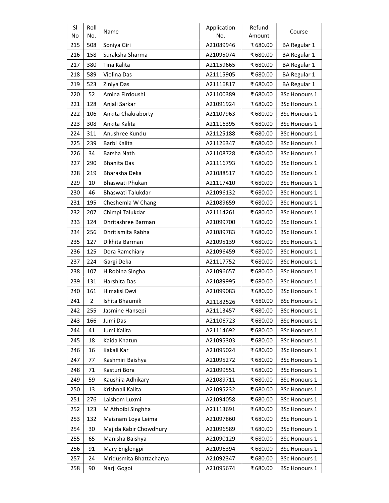| <b>SI</b> | Roll           | Name                    | Application | Refund   | Course               |
|-----------|----------------|-------------------------|-------------|----------|----------------------|
| No        | No.            |                         | No.         | Amount   |                      |
| 215       | 508            | Soniya Giri             | A21089946   | ₹680.00  | <b>BA Regular 1</b>  |
| 216       | 158            | Suraksha Sharma         | A21095074   | ₹680.00  | <b>BA Regular 1</b>  |
| 217       | 380            | Tina Kalita             | A21159665   | ₹680.00  | <b>BA Regular 1</b>  |
| 218       | 589            | Violina Das             | A21115905   | ₹680.00  | <b>BA Regular 1</b>  |
| 219       | 523            | Ziniya Das              | A21116817   | ₹680.00  | <b>BA Regular 1</b>  |
| 220       | 52             | Amina Firdoushi         | A21100389   | ₹680.00  | <b>BSc Honours 1</b> |
| 221       | 128            | Anjali Sarkar           | A21091924   | ₹680.00  | <b>BSc Honours 1</b> |
| 222       | 106            | Ankita Chakraborty      | A21107963   | ₹680.00  | <b>BSc Honours 1</b> |
| 223       | 308            | Ankita Kalita           | A21116395   | ₹680.00  | <b>BSc Honours 1</b> |
| 224       | 311            | Anushree Kundu          | A21125188   | ₹680.00  | <b>BSc Honours 1</b> |
| 225       | 239            | Barbi Kalita            | A21126347   | ₹680.00  | <b>BSc Honours 1</b> |
| 226       | 34             | Barsha Nath             | A21108728   | ₹680.00  | <b>BSc Honours 1</b> |
| 227       | 290            | <b>Bhanita Das</b>      | A21116793   | ₹680.00  | <b>BSc Honours 1</b> |
| 228       | 219            | Bharasha Deka           | A21088517   | ₹680.00  | <b>BSc Honours 1</b> |
| 229       | 10             | Bhaswati Phukan         | A21117410   | ₹680.00  | <b>BSc Honours 1</b> |
| 230       | 46             | Bhaswati Talukdar       | A21096132   | ₹680.00  | <b>BSc Honours 1</b> |
| 231       | 195            | Cheshemla W Chang       | A21089659   | ₹680.00  | <b>BSc Honours 1</b> |
| 232       | 207            | Chimpi Talukdar         | A21114261   | ₹680.00  | <b>BSc Honours 1</b> |
| 233       | 124            | Dhritashree Barman      | A21099700   | ₹680.00  | <b>BSc Honours 1</b> |
| 234       | 256            | Dhritismita Rabha       | A21089783   | ₹680.00  | <b>BSc Honours 1</b> |
| 235       | 127            | Dikhita Barman          | A21095139   | ₹680.00  | <b>BSc Honours 1</b> |
| 236       | 125            | Dora Ramchiary          | A21096459   | ₹680.00  | <b>BSc Honours 1</b> |
| 237       | 224            | Gargi Deka              | A21117752   | ₹680.00  | <b>BSc Honours 1</b> |
| 238       | 107            | H Robina Singha         | A21096657   | ₹ 680.00 | <b>BSc Honours 1</b> |
| 239       | 131            | Harshita Das            | A21089995   | ₹680.00  | <b>BSc Honours 1</b> |
| 240       | 161            | Himaksi Devi            | A21099083   | ₹680.00  | <b>BSc Honours 1</b> |
| 241       | $\overline{2}$ | Ishita Bhaumik          | A21182526   | ₹680.00  | <b>BSc Honours 1</b> |
| 242       | 255            | Jasmine Hansepi         | A21113457   | ₹680.00  | <b>BSc Honours 1</b> |
| 243       | 166            | Jumi Das                | A21106723   | ₹680.00  | <b>BSc Honours 1</b> |
| 244       | 41             | Jumi Kalita             | A21114692   | ₹680.00  | <b>BSc Honours 1</b> |
| 245       | 18             | Kaida Khatun            | A21095303   | ₹680.00  | <b>BSc Honours 1</b> |
| 246       | 16             | Kakali Kar              | A21095024   | ₹680.00  | <b>BSc Honours 1</b> |
| 247       | 77             | Kashmiri Baishya        | A21095272   | ₹680.00  | <b>BSc Honours 1</b> |
| 248       | 71             | Kasturi Bora            | A21099551   | ₹680.00  | <b>BSc Honours 1</b> |
| 249       | 59             | Kaushila Adhikary       | A21089711   | ₹680.00  | <b>BSc Honours 1</b> |
| 250       | 13             | Krishnali Kalita        | A21095232   | ₹680.00  | <b>BSc Honours 1</b> |
| 251       | 276            | Laishom Luxmi           | A21094058   | ₹680.00  | <b>BSc Honours 1</b> |
| 252       | 123            | M Athoibi Singhha       | A21113691   | ₹680.00  | <b>BSc Honours 1</b> |
| 253       | 132            | Maisnam Loya Leima      | A21097860   | ₹680.00  | <b>BSc Honours 1</b> |
| 254       | 30             | Majida Kabir Chowdhury  | A21096589   | ₹680.00  | <b>BSc Honours 1</b> |
| 255       | 65             | Manisha Baishya         | A21090129   | ₹680.00  | <b>BSc Honours 1</b> |
| 256       | 91             | Mary Englengpi          | A21096394   | ₹680.00  | <b>BSc Honours 1</b> |
| 257       | 24             | Mridusmita Bhattacharya | A21092347   | ₹680.00  | <b>BSc Honours 1</b> |
|           |                |                         |             |          |                      |
| 258       | 90             | Narji Gogoi             | A21095674   | ₹680.00  | <b>BSc Honours 1</b> |